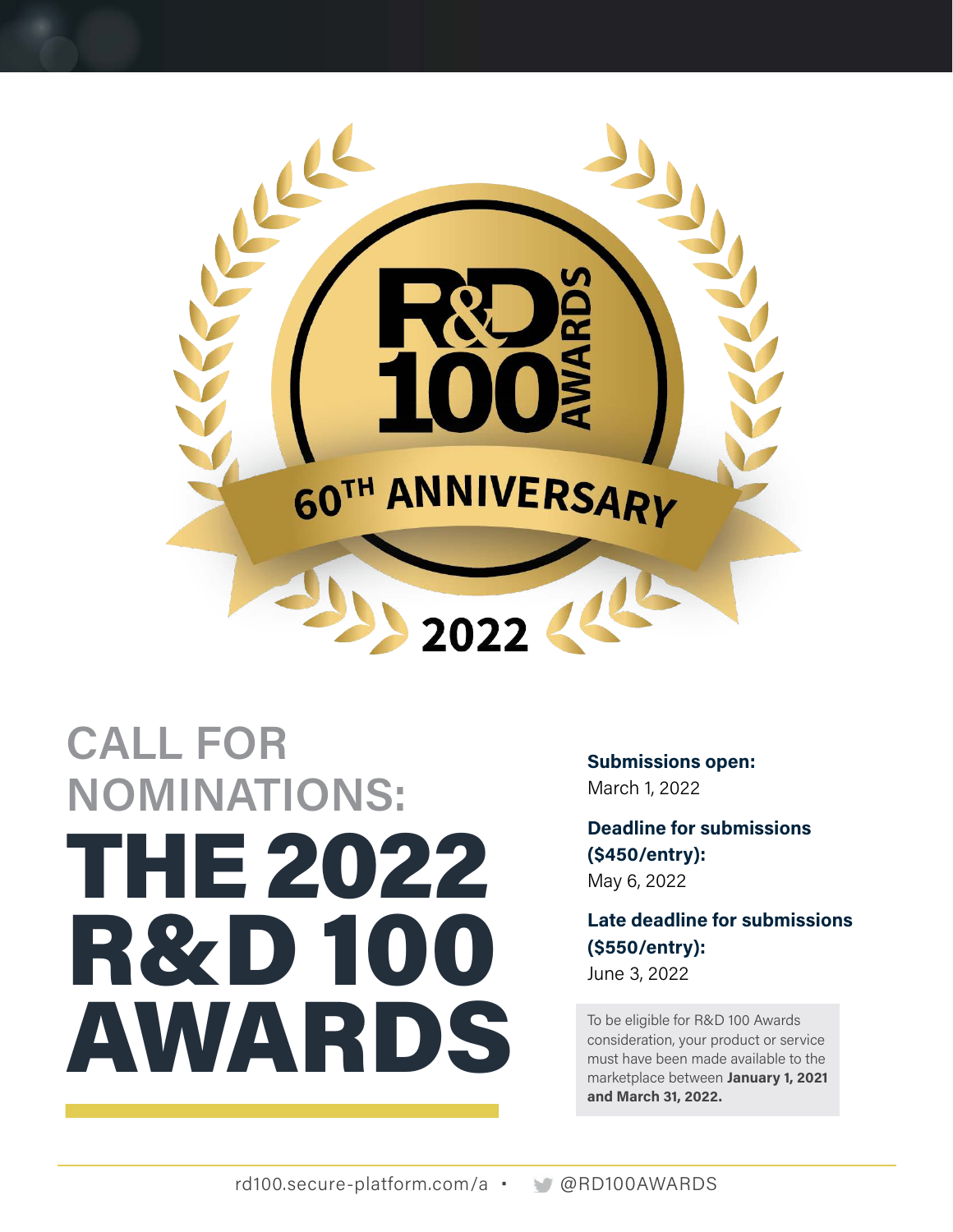

### **CALL FOR NOMINATIONS:**  THE 2022 R&D 100 AWARDS

**Submissions open:**  March 1, 2022

**Deadline for submissions (\$450/entry):**  May 6, 2022

**Late deadline for submissions (\$550/entry):**  June 3, 2022

To be eligible for R&D 100 Awards consideration, your product or service must have been made available to the marketplace between **January 1, 2021 and March 31, 2022.**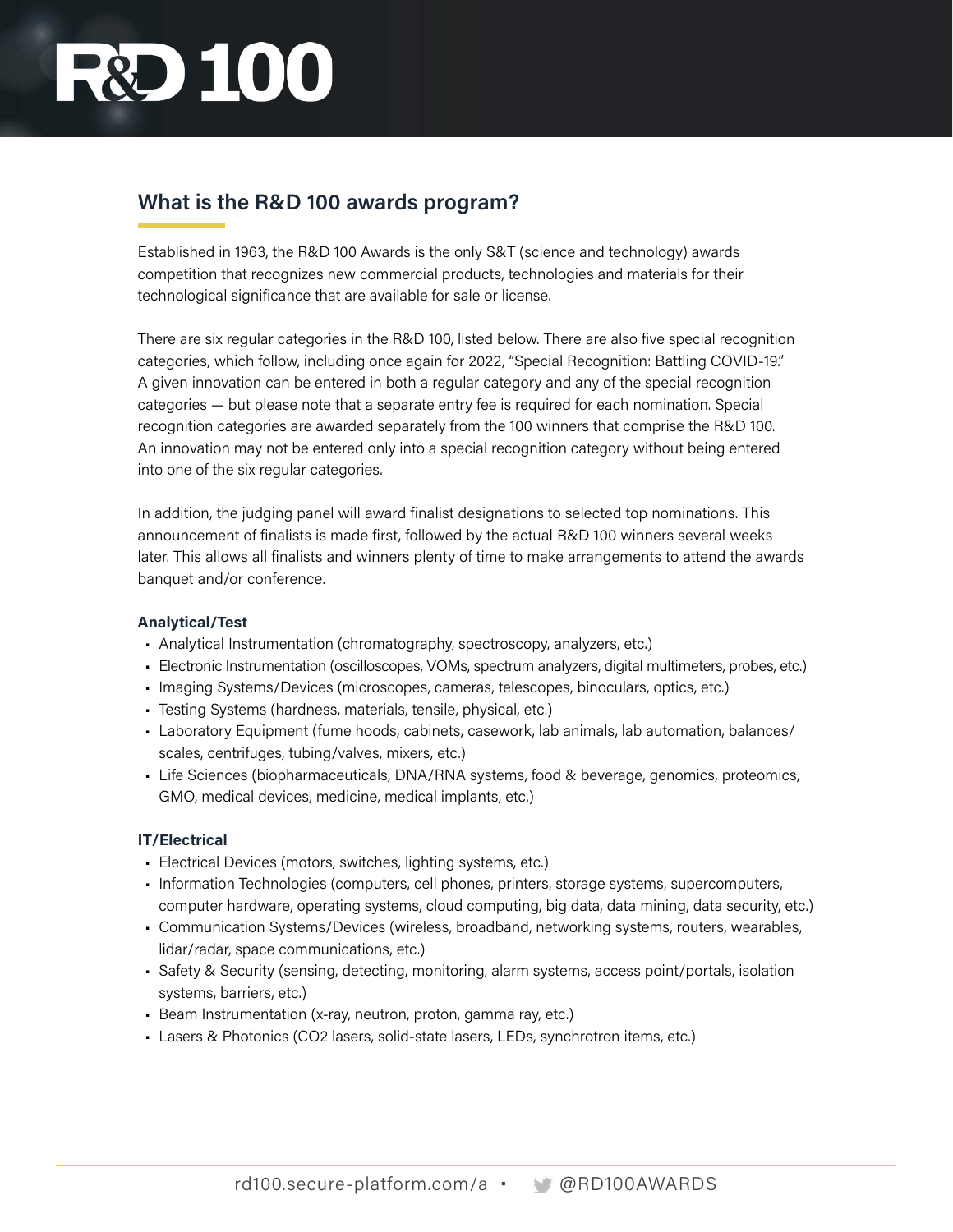# **D** 100

### **What is the R&D 100 awards program?**

Established in 1963, the R&D 100 Awards is the only S&T (science and technology) awards competition that recognizes new commercial products, technologies and materials for their technological significance that are available for sale or license.

There are six regular categories in the R&D 100, listed below. There are also five special recognition categories, which follow, including once again for 2022, "Special Recognition: Battling COVID-19." A given innovation can be entered in both a regular category and any of the special recognition categories — but please note that a separate entry fee is required for each nomination. Special recognition categories are awarded separately from the 100 winners that comprise the R&D 100. An innovation may not be entered only into a special recognition category without being entered into one of the six regular categories.

In addition, the judging panel will award finalist designations to selected top nominations. This announcement of finalists is made first, followed by the actual R&D 100 winners several weeks later. This allows all finalists and winners plenty of time to make arrangements to attend the awards banquet and/or conference.

#### **Analytical/Test**

- Analytical Instrumentation (chromatography, spectroscopy, analyzers, etc.)
- Electronic Instrumentation (oscilloscopes, VOMs, spectrum analyzers, digital multimeters, probes, etc.)
- Imaging Systems/Devices (microscopes, cameras, telescopes, binoculars, optics, etc.)
- Testing Systems (hardness, materials, tensile, physical, etc.)
- Laboratory Equipment (fume hoods, cabinets, casework, lab animals, lab automation, balances/ scales, centrifuges, tubing/valves, mixers, etc.)
- Life Sciences (biopharmaceuticals, DNA/RNA systems, food & beverage, genomics, proteomics, GMO, medical devices, medicine, medical implants, etc.)

#### **IT/Electrical**

- Electrical Devices (motors, switches, lighting systems, etc.)
- Information Technologies (computers, cell phones, printers, storage systems, supercomputers, computer hardware, operating systems, cloud computing, big data, data mining, data security, etc.)
- Communication Systems/Devices (wireless, broadband, networking systems, routers, wearables, lidar/radar, space communications, etc.)
- Safety & Security (sensing, detecting, monitoring, alarm systems, access point/portals, isolation systems, barriers, etc.)
- Beam Instrumentation (x-ray, neutron, proton, gamma ray, etc.)
- Lasers & Photonics (CO2 lasers, solid-state lasers, LEDs, synchrotron items, etc.)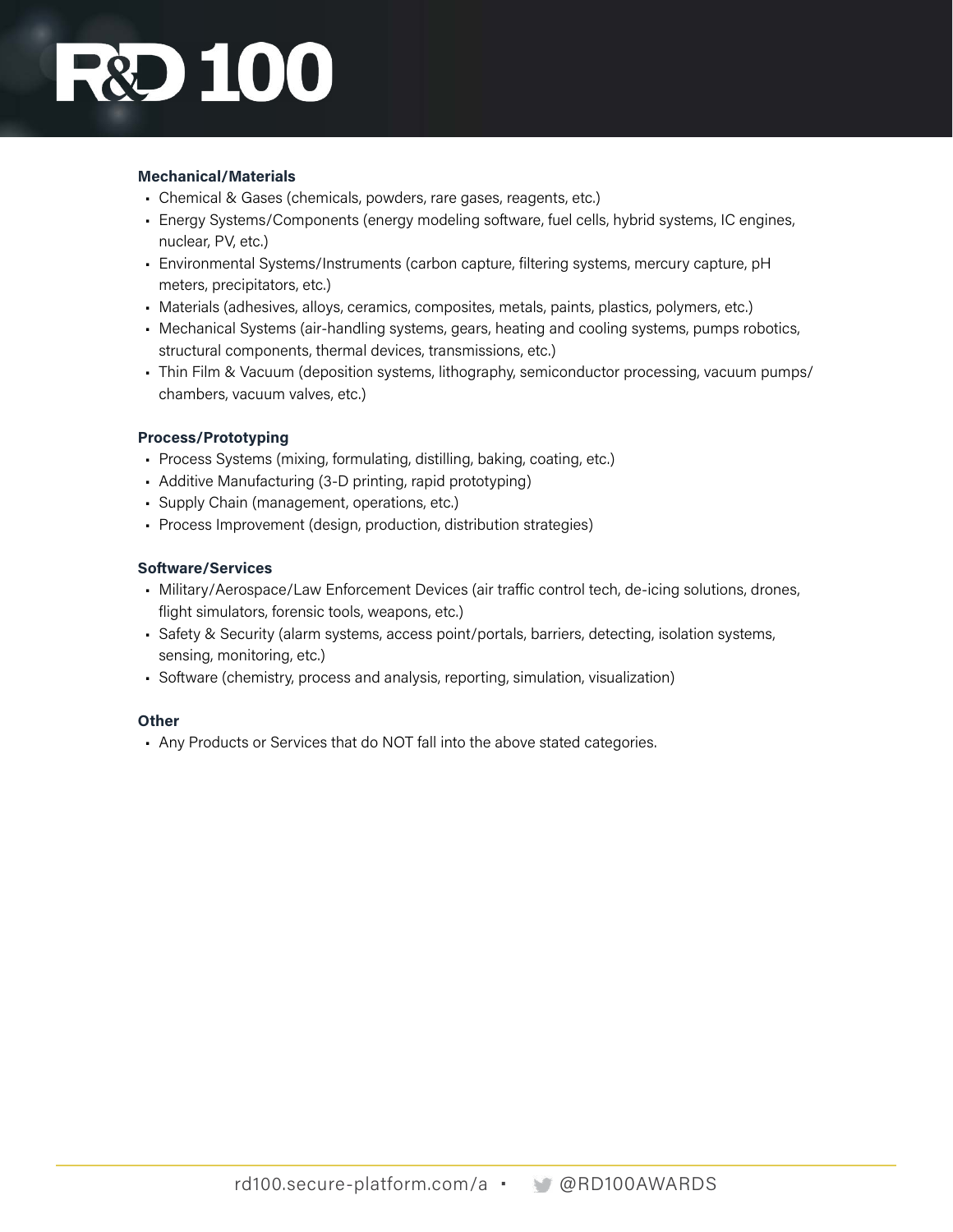# **DEC**

#### **Mechanical/Materials**

- Chemical & Gases (chemicals, powders, rare gases, reagents, etc.)
- Energy Systems/Components (energy modeling software, fuel cells, hybrid systems, IC engines, nuclear, PV, etc.)
- Environmental Systems/Instruments (carbon capture, filtering systems, mercury capture, pH meters, precipitators, etc.)
- Materials (adhesives, alloys, ceramics, composites, metals, paints, plastics, polymers, etc.)
- Mechanical Systems (air-handling systems, gears, heating and cooling systems, pumps robotics, structural components, thermal devices, transmissions, etc.)
- Thin Film & Vacuum (deposition systems, lithography, semiconductor processing, vacuum pumps/ chambers, vacuum valves, etc.)

#### **Process/Prototyping**

- Process Systems (mixing, formulating, distilling, baking, coating, etc.)
- Additive Manufacturing (3-D printing, rapid prototyping)
- Supply Chain (management, operations, etc.)
- Process Improvement (design, production, distribution strategies)

#### **Software/Services**

- Military/Aerospace/Law Enforcement Devices (air traffic control tech, de-icing solutions, drones, flight simulators, forensic tools, weapons, etc.)
- Safety & Security (alarm systems, access point/portals, barriers, detecting, isolation systems, sensing, monitoring, etc.)
- Software (chemistry, process and analysis, reporting, simulation, visualization)

#### **Other**

• Any Products or Services that do NOT fall into the above stated categories.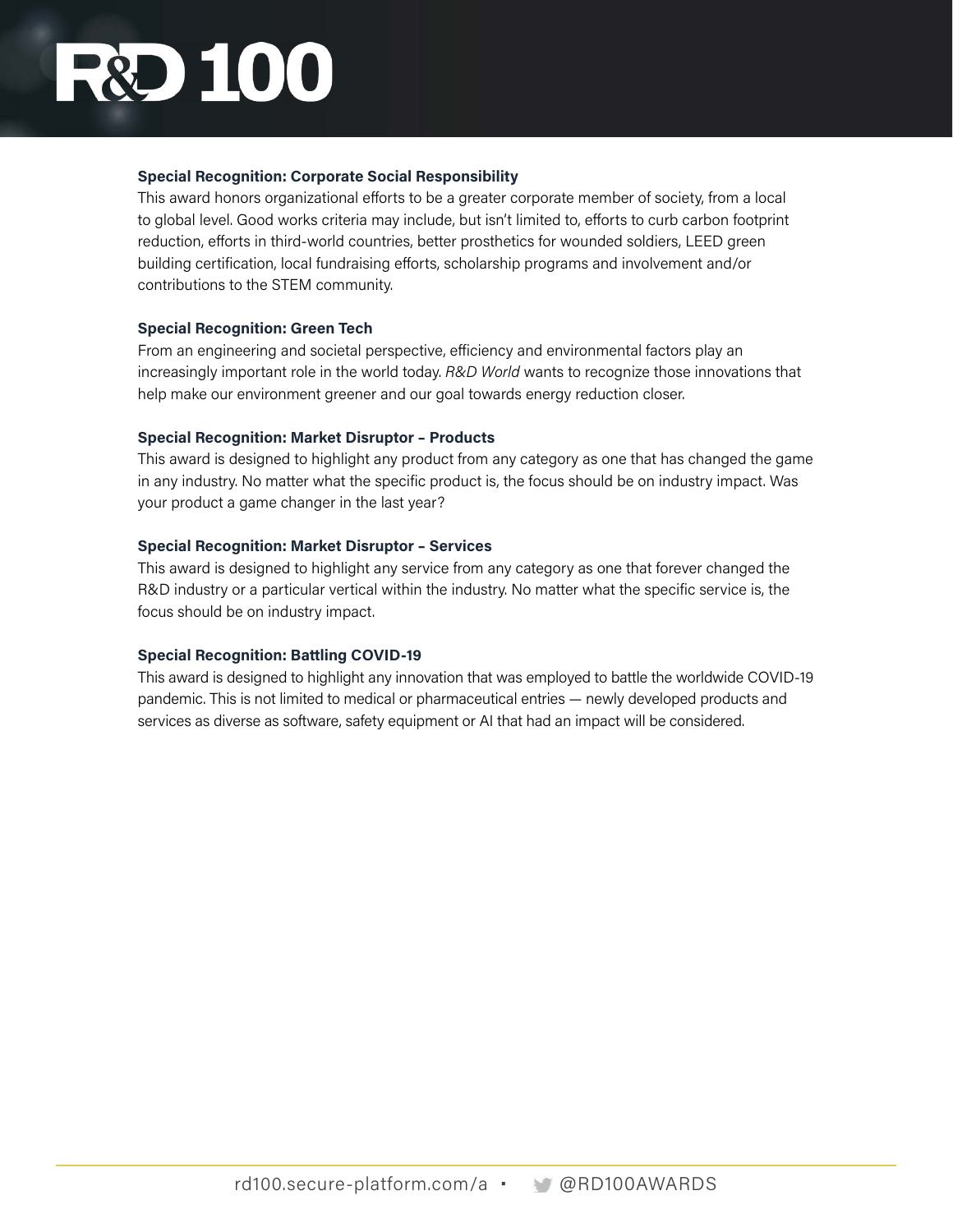# **DI00**

#### **Special Recognition: Corporate Social Responsibility**

This award honors organizational efforts to be a greater corporate member of society, from a local to global level. Good works criteria may include, but isn't limited to, efforts to curb carbon footprint reduction, efforts in third-world countries, better prosthetics for wounded soldiers, LEED green building certification, local fundraising efforts, scholarship programs and involvement and/or contributions to the STEM community.

#### **Special Recognition: Green Tech**

From an engineering and societal perspective, efficiency and environmental factors play an increasingly important role in the world today. *R&D World* wants to recognize those innovations that help make our environment greener and our goal towards energy reduction closer.

#### **Special Recognition: Market Disruptor – Products**

This award is designed to highlight any product from any category as one that has changed the game in any industry. No matter what the specific product is, the focus should be on industry impact. Was your product a game changer in the last year?

#### **Special Recognition: Market Disruptor – Services**

This award is designed to highlight any service from any category as one that forever changed the R&D industry or a particular vertical within the industry. No matter what the specific service is, the focus should be on industry impact.

#### **Special Recognition: Battling COVID-19**

This award is designed to highlight any innovation that was employed to battle the worldwide COVID-19 pandemic. This is not limited to medical or pharmaceutical entries — newly developed products and services as diverse as software, safety equipment or AI that had an impact will be considered.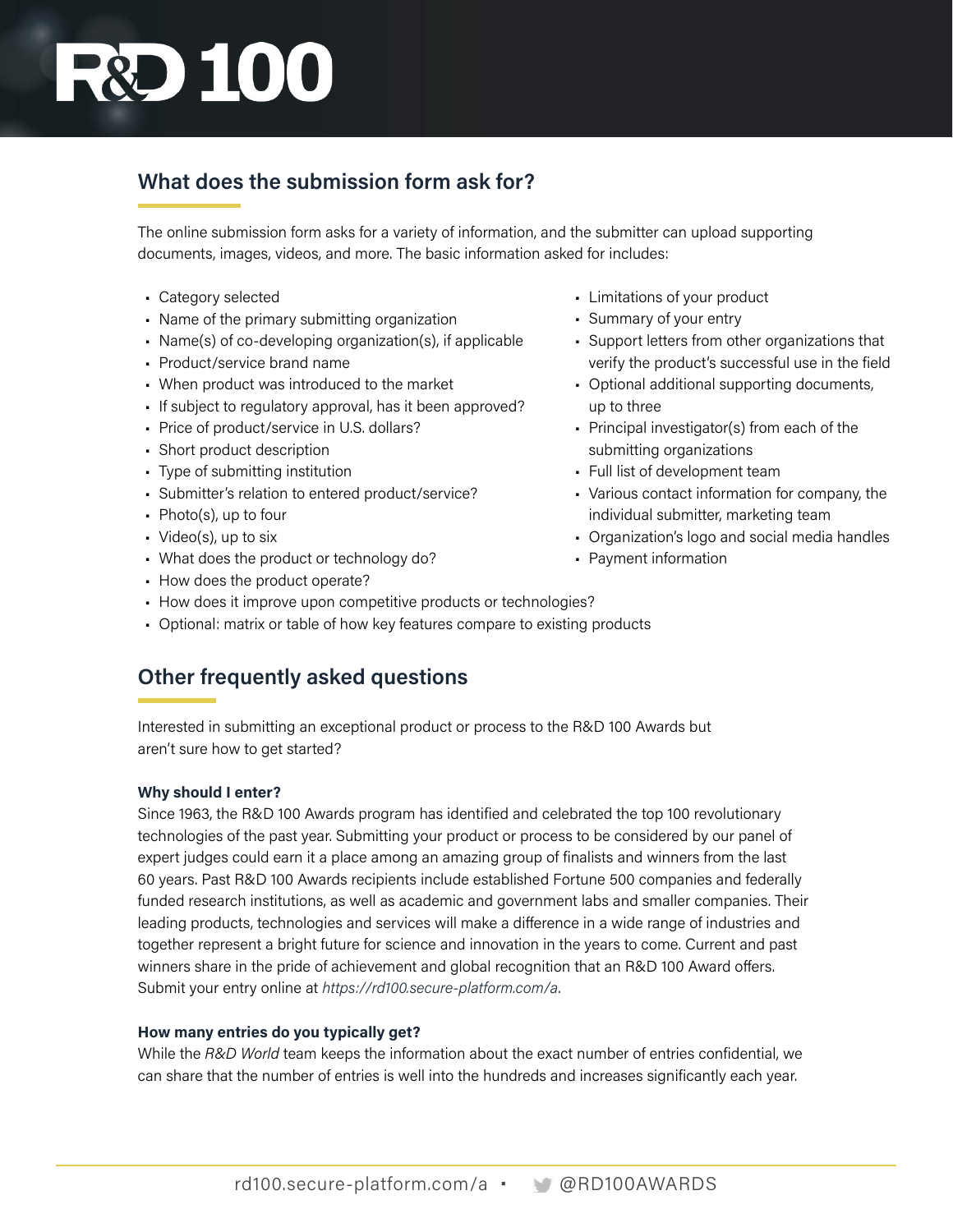# **R&D 100**

### **What does the submission form ask for?**

The online submission form asks for a variety of information, and the submitter can upload supporting documents, images, videos, and more. The basic information asked for includes:

- Category selected
- Name of the primary submitting organization
- Name(s) of co-developing organization(s), if applicable
- Product/service brand name
- When product was introduced to the market
- If subject to regulatory approval, has it been approved?
- Price of product/service in U.S. dollars?
- Short product description
- Type of submitting institution
- Submitter's relation to entered product/service?
- Photo(s), up to four
- Video(s), up to six
- What does the product or technology do?
- How does the product operate?
- How does it improve upon competitive products or technologies?
- Optional: matrix or table of how key features compare to existing products

### **Other frequently asked questions**

Interested in submitting an exceptional product or process to the R&D 100 Awards but aren't sure how to get started?

#### **Why should I enter?**

Since 1963, the R&D 100 Awards program has identified and celebrated the top 100 revolutionary technologies of the past year. Submitting your product or process to be considered by our panel of expert judges could earn it a place among an amazing group of finalists and winners from the last 60 years. Past R&D 100 Awards recipients include established Fortune 500 companies and federally funded research institutions, as well as academic and government labs and smaller companies. Their leading products, technologies and services will make a difference in a wide range of industries and together represent a bright future for science and innovation in the years to come. Current and past winners share in the pride of achievement and global recognition that an R&D 100 Award offers. Submit your entry online at *<https://rd100.secure-platform.com/a>*.

#### **How many entries do you typically get?**

While the *R&D World* team keeps the information about the exact number of entries confidential, we can share that the number of entries is well into the hundreds and increases significantly each year.

- Limitations of your product
- Summary of your entry
- Support letters from other organizations that verify the product's successful use in the field
- Optional additional supporting documents, up to three
- Principal investigator(s) from each of the submitting organizations
- Full list of development team
- Various contact information for company, the individual submitter, marketing team
- Organization's logo and social media handles
- Payment information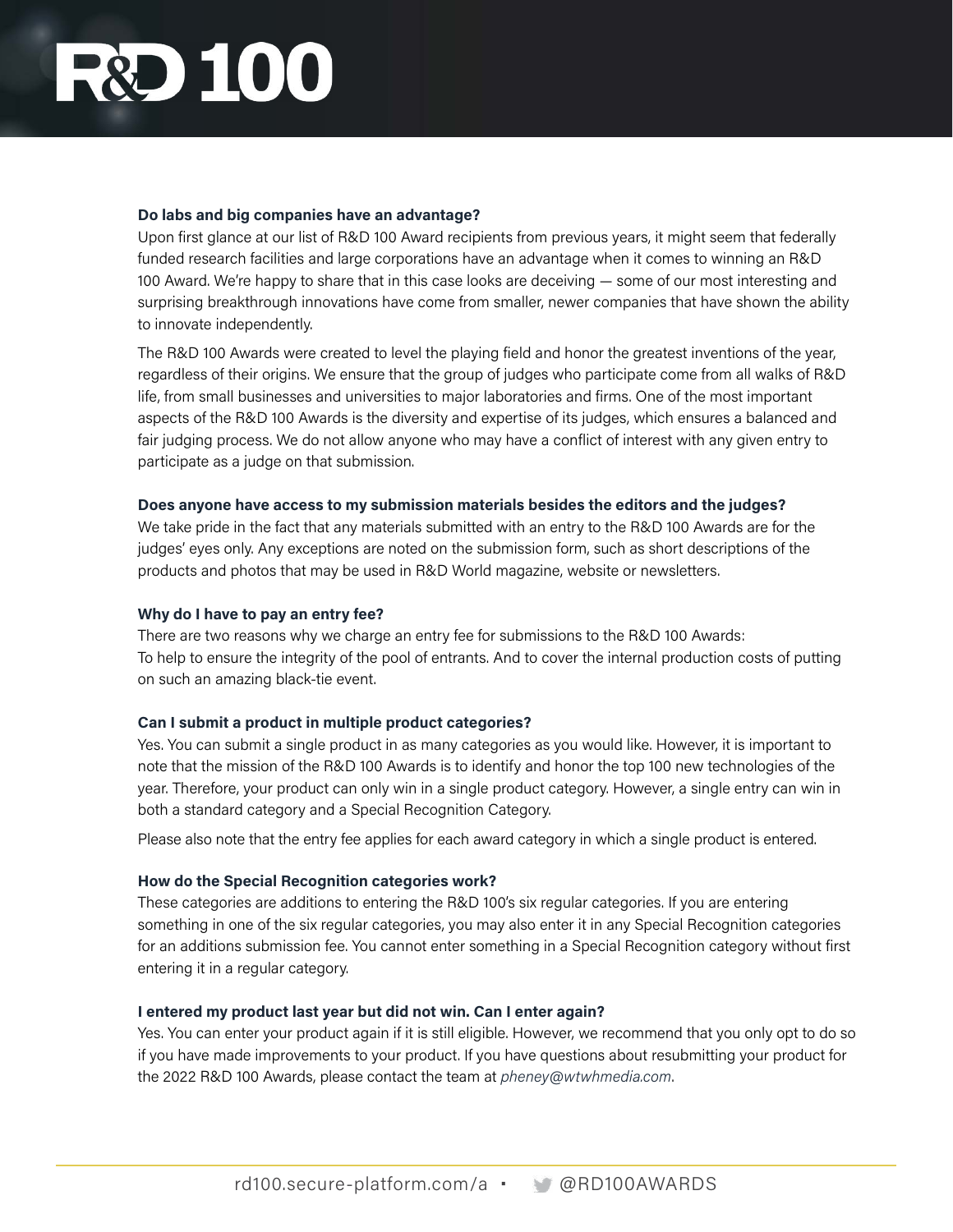### **D** 100

#### **Do labs and big companies have an advantage?**

Upon first glance at our list of R&D 100 Award recipients from previous years, it might seem that federally funded research facilities and large corporations have an advantage when it comes to winning an R&D 100 Award. We're happy to share that in this case looks are deceiving — some of our most interesting and surprising breakthrough innovations have come from smaller, newer companies that have shown the ability to innovate independently.

The R&D 100 Awards were created to level the playing field and honor the greatest inventions of the year, regardless of their origins. We ensure that the group of judges who participate come from all walks of R&D life, from small businesses and universities to major laboratories and firms. One of the most important aspects of the R&D 100 Awards is the diversity and expertise of its judges, which ensures a balanced and fair judging process. We do not allow anyone who may have a conflict of interest with any given entry to participate as a judge on that submission.

#### **Does anyone have access to my submission materials besides the editors and the judges?**

We take pride in the fact that any materials submitted with an entry to the R&D 100 Awards are for the judges' eyes only. Any exceptions are noted on the submission form, such as short descriptions of the products and photos that may be used in R&D World magazine, website or newsletters.

#### **Why do I have to pay an entry fee?**

There are two reasons why we charge an entry fee for submissions to the R&D 100 Awards: To help to ensure the integrity of the pool of entrants. And to cover the internal production costs of putting on such an amazing black-tie event.

#### **Can I submit a product in multiple product categories?**

Yes. You can submit a single product in as many categories as you would like. However, it is important to note that the mission of the R&D 100 Awards is to identify and honor the top 100 new technologies of the year. Therefore, your product can only win in a single product category. However, a single entry can win in both a standard category and a Special Recognition Category.

Please also note that the entry fee applies for each award category in which a single product is entered.

#### **How do the Special Recognition categories work?**

These categories are additions to entering the R&D 100's six regular categories. If you are entering something in one of the six regular categories, you may also enter it in any Special Recognition categories for an additions submission fee. You cannot enter something in a Special Recognition category without first entering it in a regular category.

#### **I entered my product last year but did not win. Can I enter again?**

Yes. You can enter your product again if it is still eligible. However, we recommend that you only opt to do so if you have made improvements to your product. If you have questions about resubmitting your product for the 2022 R&D 100 Awards, please contact the team at *[pheney@wtwhmedia.com](mailto:pheney%40wtwhmedia.com?subject=RD%20100%20Submission)*.